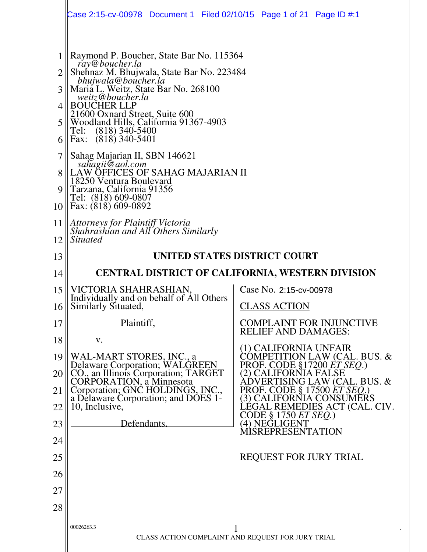|                                       | Case 2:15-cv-00978 Document 1 Filed 02/10/15 Page 1 of 21 Page ID #:1                                                                                                                                                                                                                                                                                                                                                                                                                                                                        |                                               |                                                               |
|---------------------------------------|----------------------------------------------------------------------------------------------------------------------------------------------------------------------------------------------------------------------------------------------------------------------------------------------------------------------------------------------------------------------------------------------------------------------------------------------------------------------------------------------------------------------------------------------|-----------------------------------------------|---------------------------------------------------------------|
| 2<br>3<br>4<br>5<br>6<br>7<br>9<br>10 | Raymond P. Boucher, State Bar No. 115364<br>ray@boucher.la<br>Shehnaz M. Bhujwala, State Bar No. 223484<br>bhujwala@boucher.la<br>Maria L. Weitz, State Bar No. 268100<br>weitz@boucher.la<br><b>BOUCHER LLP</b><br>21600 Oxnard Street, Suite 600<br>Woodland Hills, California 91367-4903<br>$(818)$ 340-5400<br>Tel:<br>Fax: (818) 340-5401<br>Sahag Majarian II, SBN 146621<br>sahagii@aol.com<br>LAW OFFICES OF SAHAG MAJARIAN II<br>18250 Ventura Boulevard<br>Tarzana, California 91356<br>Tel: (818) 609-0807<br>Fax: (818) 609-0892 |                                               |                                                               |
| 11                                    |                                                                                                                                                                                                                                                                                                                                                                                                                                                                                                                                              |                                               |                                                               |
| 12                                    | Attorneys for Plaintiff Victoria<br>Shahrashian and All Others Similarly<br><i>Situated</i>                                                                                                                                                                                                                                                                                                                                                                                                                                                  |                                               |                                                               |
| 13                                    | UNITED STATES DISTRICT COURT                                                                                                                                                                                                                                                                                                                                                                                                                                                                                                                 |                                               |                                                               |
| 14                                    | <b>CENTRAL DISTRICT OF CALIFORNIA, WESTERN DIVISION</b>                                                                                                                                                                                                                                                                                                                                                                                                                                                                                      |                                               |                                                               |
| 15                                    | VICTORIA SHAHRASHIAN,                                                                                                                                                                                                                                                                                                                                                                                                                                                                                                                        | Case No. 2:15-cv-00978                        |                                                               |
| 16                                    | Individually and on behalf of All Others<br>Similarly Situated,                                                                                                                                                                                                                                                                                                                                                                                                                                                                              | <b>CLASS ACTION</b>                           |                                                               |
| 17                                    | Plaintiff,                                                                                                                                                                                                                                                                                                                                                                                                                                                                                                                                   | <b>RELIEF AND DAMAGES:</b>                    | <b>COMPLAINT FOR INJUNCTIVE</b>                               |
| 18                                    | V.                                                                                                                                                                                                                                                                                                                                                                                                                                                                                                                                           | (1) CALIFORNIA UNFAIR                         |                                                               |
| 19                                    | WAL-MART STORES, INC., a                                                                                                                                                                                                                                                                                                                                                                                                                                                                                                                     |                                               | COMPETITION LAW (CAL. BUS. &<br>PROF. CODE §17200 ET SEQ.)    |
| 20                                    | Delaware Corporation; WALGREEN<br>CO., an Illinois Corporation; TARGET<br>CORPORATION, a Minnesota                                                                                                                                                                                                                                                                                                                                                                                                                                           | (2) CALIFORNIA FALSE                          | ADVERTISING LAW (CAL. BUS. &                                  |
| 21                                    | Corporation; GNC HOLDINGS, INC., a Delaware Corporation; and DOES 1-                                                                                                                                                                                                                                                                                                                                                                                                                                                                         |                                               | <b>PROF. CODE § 17500 ET SEQ.)</b><br>3) CALIFORNIA CONSUMERS |
| 22                                    | 10, Inclusive,                                                                                                                                                                                                                                                                                                                                                                                                                                                                                                                               | CODE § 1750 <i>ET SEQ</i> .)<br>(4) NEGLIGENT | LÉGAL REMEDIES ACT (CAL. CIV.                                 |
| 23                                    | Defendants.                                                                                                                                                                                                                                                                                                                                                                                                                                                                                                                                  | <b>MISREPRESENTATION</b>                      |                                                               |
| 24                                    |                                                                                                                                                                                                                                                                                                                                                                                                                                                                                                                                              |                                               |                                                               |
| 25                                    |                                                                                                                                                                                                                                                                                                                                                                                                                                                                                                                                              | <b>REQUEST FOR JURY TRIAL</b>                 |                                                               |
| 26                                    |                                                                                                                                                                                                                                                                                                                                                                                                                                                                                                                                              |                                               |                                                               |
| 27                                    |                                                                                                                                                                                                                                                                                                                                                                                                                                                                                                                                              |                                               |                                                               |
| 28                                    |                                                                                                                                                                                                                                                                                                                                                                                                                                                                                                                                              |                                               |                                                               |
|                                       | 00026263.3<br>CLASS ACTION COMPLAINT AND REQUEST FOR JURY TRIAL                                                                                                                                                                                                                                                                                                                                                                                                                                                                              |                                               |                                                               |
|                                       |                                                                                                                                                                                                                                                                                                                                                                                                                                                                                                                                              |                                               |                                                               |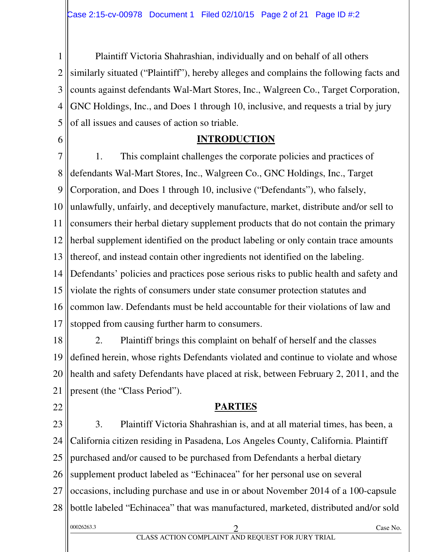1 2 3 4 5 Plaintiff Victoria Shahrashian, individually and on behalf of all others similarly situated ("Plaintiff"), hereby alleges and complains the following facts and counts against defendants Wal-Mart Stores, Inc., Walgreen Co., Target Corporation, GNC Holdings, Inc., and Does 1 through 10, inclusive, and requests a trial by jury of all issues and causes of action so triable.

6

#### **INTRODUCTION**

7 8 9 10 11 12 13 14 15 16 17 1. This complaint challenges the corporate policies and practices of defendants Wal-Mart Stores, Inc., Walgreen Co., GNC Holdings, Inc., Target Corporation, and Does 1 through 10, inclusive ("Defendants"), who falsely, unlawfully, unfairly, and deceptively manufacture, market, distribute and/or sell to consumers their herbal dietary supplement products that do not contain the primary herbal supplement identified on the product labeling or only contain trace amounts thereof, and instead contain other ingredients not identified on the labeling. Defendants' policies and practices pose serious risks to public health and safety and violate the rights of consumers under state consumer protection statutes and common law. Defendants must be held accountable for their violations of law and stopped from causing further harm to consumers.

18 19 20 21 2. Plaintiff brings this complaint on behalf of herself and the classes defined herein, whose rights Defendants violated and continue to violate and whose health and safety Defendants have placed at risk, between February 2, 2011, and the present (the "Class Period").

22

#### **PARTIES**

23 24 25 26 27 28 00026263.3 Case No. 2 CLASS ACTION COMPLAINT AND REQUEST FOR JURY TRIAL 3. Plaintiff Victoria Shahrashian is, and at all material times, has been, a California citizen residing in Pasadena, Los Angeles County, California. Plaintiff purchased and/or caused to be purchased from Defendants a herbal dietary supplement product labeled as "Echinacea" for her personal use on several occasions, including purchase and use in or about November 2014 of a 100-capsule bottle labeled "Echinacea" that was manufactured, marketed, distributed and/or sold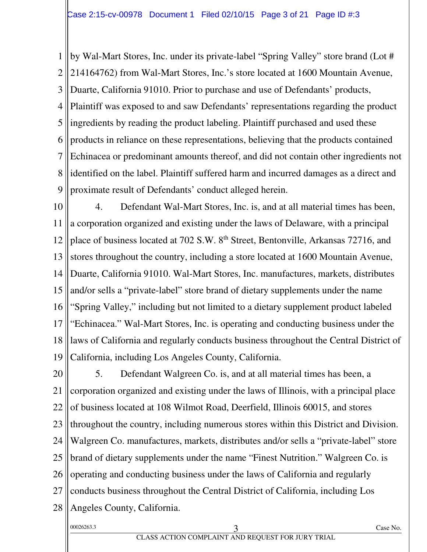1 2 3 4 5 6 7 8 9 by Wal-Mart Stores, Inc. under its private-label "Spring Valley" store brand (Lot # 214164762) from Wal-Mart Stores, Inc.'s store located at 1600 Mountain Avenue, Duarte, California 91010. Prior to purchase and use of Defendants' products, Plaintiff was exposed to and saw Defendants' representations regarding the product ingredients by reading the product labeling. Plaintiff purchased and used these products in reliance on these representations, believing that the products contained Echinacea or predominant amounts thereof, and did not contain other ingredients not identified on the label. Plaintiff suffered harm and incurred damages as a direct and proximate result of Defendants' conduct alleged herein.

10 11 12 13 14 15 16 17 18 19 4. Defendant Wal-Mart Stores, Inc. is, and at all material times has been, a corporation organized and existing under the laws of Delaware, with a principal place of business located at 702 S.W. 8th Street, Bentonville, Arkansas 72716, and stores throughout the country, including a store located at 1600 Mountain Avenue, Duarte, California 91010. Wal-Mart Stores, Inc. manufactures, markets, distributes and/or sells a "private-label" store brand of dietary supplements under the name "Spring Valley," including but not limited to a dietary supplement product labeled "Echinacea." Wal-Mart Stores, Inc. is operating and conducting business under the laws of California and regularly conducts business throughout the Central District of California, including Los Angeles County, California.

20 21 22 23 24 25 26 27 28 5. Defendant Walgreen Co. is, and at all material times has been, a corporation organized and existing under the laws of Illinois, with a principal place of business located at 108 Wilmot Road, Deerfield, Illinois 60015, and stores throughout the country, including numerous stores within this District and Division. Walgreen Co. manufactures, markets, distributes and/or sells a "private-label" store brand of dietary supplements under the name "Finest Nutrition." Walgreen Co. is operating and conducting business under the laws of California and regularly conducts business throughout the Central District of California, including Los Angeles County, California.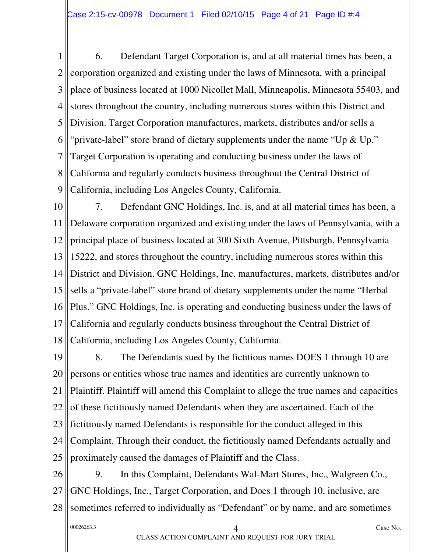1 2 3 4 5 6 7 8 9 6. Defendant Target Corporation is, and at all material times has been, a corporation organized and existing under the laws of Minnesota, with a principal place of business located at 1000 Nicollet Mall, Minneapolis, Minnesota 55403, and stores throughout the country, including numerous stores within this District and Division. Target Corporation manufactures, markets, distributes and/or sells a "private-label" store brand of dietary supplements under the name "Up & Up." Target Corporation is operating and conducting business under the laws of California and regularly conducts business throughout the Central District of California, including Los Angeles County, California.

10 11 12 13 14 15 16 17 18 7. Defendant GNC Holdings, Inc. is, and at all material times has been, a Delaware corporation organized and existing under the laws of Pennsylvania, with a principal place of business located at 300 Sixth Avenue, Pittsburgh, Pennsylvania 15222, and stores throughout the country, including numerous stores within this District and Division. GNC Holdings, Inc. manufactures, markets, distributes and/or sells a "private-label" store brand of dietary supplements under the name "Herbal Plus." GNC Holdings, Inc. is operating and conducting business under the laws of California and regularly conducts business throughout the Central District of California, including Los Angeles County, California.

19 20 21 22 23 24 25 8. The Defendants sued by the fictitious names DOES 1 through 10 are persons or entities whose true names and identities are currently unknown to Plaintiff. Plaintiff will amend this Complaint to allege the true names and capacities of these fictitiously named Defendants when they are ascertained. Each of the fictitiously named Defendants is responsible for the conduct alleged in this Complaint. Through their conduct, the fictitiously named Defendants actually and proximately caused the damages of Plaintiff and the Class.

26 27 28 9. In this Complaint, Defendants Wal-Mart Stores, Inc., Walgreen Co., GNC Holdings, Inc., Target Corporation, and Does 1 through 10, inclusive, are sometimes referred to individually as "Defendant" or by name, and are sometimes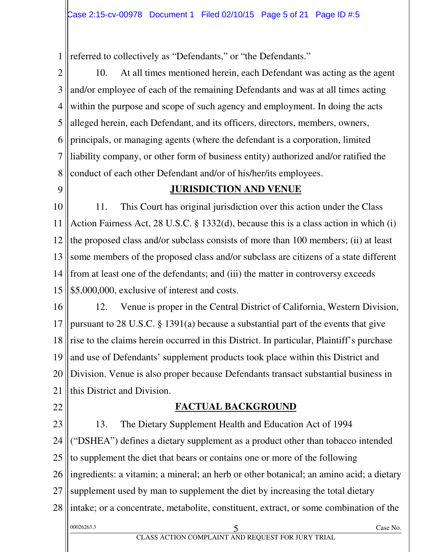1 referred to collectively as "Defendants," or "the Defendants."

2 3 4 5 6 7 8 10. At all times mentioned herein, each Defendant was acting as the agent and/or employee of each of the remaining Defendants and was at all times acting within the purpose and scope of such agency and employment. In doing the acts alleged herein, each Defendant, and its officers, directors, members, owners, principals, or managing agents (where the defendant is a corporation, limited liability company, or other form of business entity) authorized and/or ratified the conduct of each other Defendant and/or of his/her/its employees.

 $\overline{Q}$ 

#### **JURISDICTION AND VENUE**

10 11 12 13 14 15 11. This Court has original jurisdiction over this action under the Class Action Fairness Act, 28 U.S.C. § 1332(d), because this is a class action in which (i) the proposed class and/or subclass consists of more than 100 members; (ii) at least some members of the proposed class and/or subclass are citizens of a state different from at least one of the defendants; and (iii) the matter in controversy exceeds \$5,000,000, exclusive of interest and costs.

16 17 18 19 20 21 12. Venue is proper in the Central District of California, Western Division, pursuant to 28 U.S.C. § 1391(a) because a substantial part of the events that give rise to the claims herein occurred in this District. In particular, Plaintiff's purchase and use of Defendants' supplement products took place within this District and Division. Venue is also proper because Defendants transact substantial business in this District and Division.

22

#### **FACTUAL BACKGROUND**

23 24 25 26 27 28 00026263.3 Case No. 20026263.3 Case No. CLASS ACTION COMPLAINT AND REQUEST FOR JURY TRIAL 13. The Dietary Supplement Health and Education Act of 1994 ("DSHEA") defines a dietary supplement as a product other than tobacco intended to supplement the diet that bears or contains one or more of the following ingredients: a vitamin; a mineral; an herb or other botanical; an amino acid; a dietary supplement used by man to supplement the diet by increasing the total dietary intake; or a concentrate, metabolite, constituent, extract, or some combination of the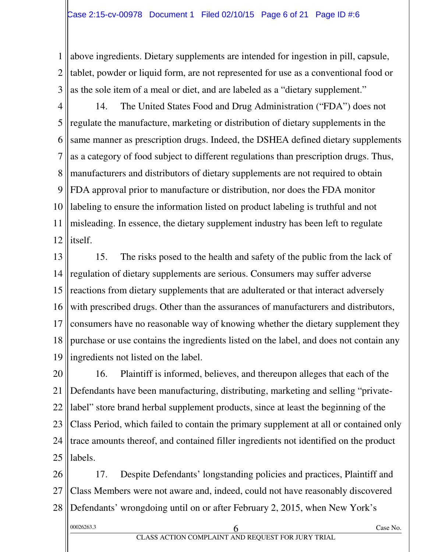1 2 3 above ingredients. Dietary supplements are intended for ingestion in pill, capsule, tablet, powder or liquid form, are not represented for use as a conventional food or as the sole item of a meal or diet, and are labeled as a "dietary supplement."

4 5 6 7 8 9 10 11 12 14. The United States Food and Drug Administration ("FDA") does not regulate the manufacture, marketing or distribution of dietary supplements in the same manner as prescription drugs. Indeed, the DSHEA defined dietary supplements as a category of food subject to different regulations than prescription drugs. Thus, manufacturers and distributors of dietary supplements are not required to obtain FDA approval prior to manufacture or distribution, nor does the FDA monitor labeling to ensure the information listed on product labeling is truthful and not misleading. In essence, the dietary supplement industry has been left to regulate itself.

13 14 15 16 17 18 19 15. The risks posed to the health and safety of the public from the lack of regulation of dietary supplements are serious. Consumers may suffer adverse reactions from dietary supplements that are adulterated or that interact adversely with prescribed drugs. Other than the assurances of manufacturers and distributors, consumers have no reasonable way of knowing whether the dietary supplement they purchase or use contains the ingredients listed on the label, and does not contain any ingredients not listed on the label.

20 21 22 23 24 25 16. Plaintiff is informed, believes, and thereupon alleges that each of the Defendants have been manufacturing, distributing, marketing and selling "privatelabel" store brand herbal supplement products, since at least the beginning of the Class Period, which failed to contain the primary supplement at all or contained only trace amounts thereof, and contained filler ingredients not identified on the product labels.

26 27 28 17. Despite Defendants' longstanding policies and practices, Plaintiff and Class Members were not aware and, indeed, could not have reasonably discovered Defendants' wrongdoing until on or after February 2, 2015, when New York's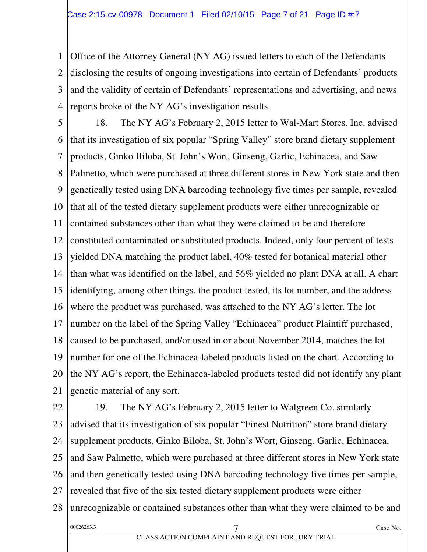1 2 3 4 Office of the Attorney General (NY AG) issued letters to each of the Defendants disclosing the results of ongoing investigations into certain of Defendants' products and the validity of certain of Defendants' representations and advertising, and news reports broke of the NY AG's investigation results.

5 6 7 8 9 10 11 12 13 14 15 16 17 18 19 20 21 18. The NY AG's February 2, 2015 letter to Wal-Mart Stores, Inc. advised that its investigation of six popular "Spring Valley" store brand dietary supplement products, Ginko Biloba, St. John's Wort, Ginseng, Garlic, Echinacea, and Saw Palmetto, which were purchased at three different stores in New York state and then genetically tested using DNA barcoding technology five times per sample, revealed that all of the tested dietary supplement products were either unrecognizable or contained substances other than what they were claimed to be and therefore constituted contaminated or substituted products. Indeed, only four percent of tests yielded DNA matching the product label, 40% tested for botanical material other than what was identified on the label, and 56% yielded no plant DNA at all. A chart identifying, among other things, the product tested, its lot number, and the address where the product was purchased, was attached to the NY AG's letter. The lot number on the label of the Spring Valley "Echinacea" product Plaintiff purchased, caused to be purchased, and/or used in or about November 2014, matches the lot number for one of the Echinacea-labeled products listed on the chart. According to the NY AG's report, the Echinacea-labeled products tested did not identify any plant genetic material of any sort.

22 23 24 25 26 27 28 00026263.3 7 Case No. 19. The NY AG's February 2, 2015 letter to Walgreen Co. similarly advised that its investigation of six popular "Finest Nutrition" store brand dietary supplement products, Ginko Biloba, St. John's Wort, Ginseng, Garlic, Echinacea, and Saw Palmetto, which were purchased at three different stores in New York state and then genetically tested using DNA barcoding technology five times per sample, revealed that five of the six tested dietary supplement products were either unrecognizable or contained substances other than what they were claimed to be and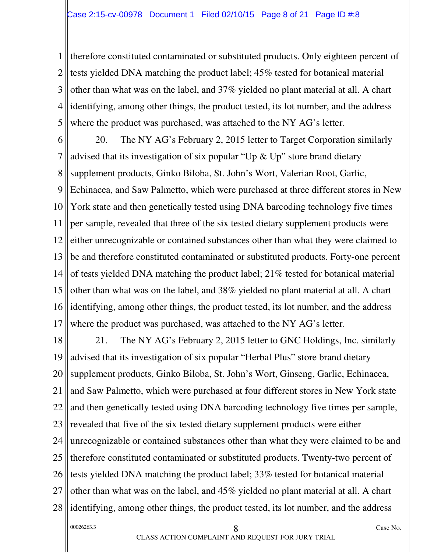1 2 3 4 5 therefore constituted contaminated or substituted products. Only eighteen percent of tests yielded DNA matching the product label; 45% tested for botanical material other than what was on the label, and 37% yielded no plant material at all. A chart identifying, among other things, the product tested, its lot number, and the address where the product was purchased, was attached to the NY AG's letter.

6 7 8 9 10 11 12 13 14 15 16 17 20. The NY AG's February 2, 2015 letter to Target Corporation similarly advised that its investigation of six popular "Up & Up" store brand dietary supplement products, Ginko Biloba, St. John's Wort, Valerian Root, Garlic, Echinacea, and Saw Palmetto, which were purchased at three different stores in New York state and then genetically tested using DNA barcoding technology five times per sample, revealed that three of the six tested dietary supplement products were either unrecognizable or contained substances other than what they were claimed to be and therefore constituted contaminated or substituted products. Forty-one percent of tests yielded DNA matching the product label; 21% tested for botanical material other than what was on the label, and 38% yielded no plant material at all. A chart identifying, among other things, the product tested, its lot number, and the address where the product was purchased, was attached to the NY AG's letter.

18 19 20 21 22 23 24 25 26 27 28 00026263.3 Case No. 20026263.3 Case No. 21. The NY AG's February 2, 2015 letter to GNC Holdings, Inc. similarly advised that its investigation of six popular "Herbal Plus" store brand dietary supplement products, Ginko Biloba, St. John's Wort, Ginseng, Garlic, Echinacea, and Saw Palmetto, which were purchased at four different stores in New York state and then genetically tested using DNA barcoding technology five times per sample, revealed that five of the six tested dietary supplement products were either unrecognizable or contained substances other than what they were claimed to be and therefore constituted contaminated or substituted products. Twenty-two percent of tests yielded DNA matching the product label; 33% tested for botanical material other than what was on the label, and 45% yielded no plant material at all. A chart identifying, among other things, the product tested, its lot number, and the address

#### CLASS ACTION COMPLAINT AND REQUEST FOR JURY TRIAL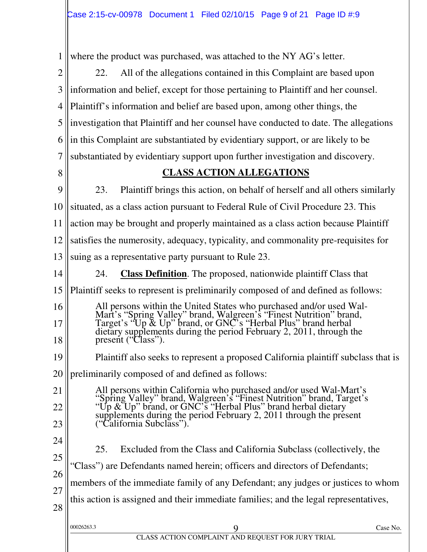1 2 3 4 5 6 7 8  $\overline{Q}$ 10 11 12 13 14 15 16 17 18 19 20 21 22 23 24 25 26 27 28 00026263.3 Case No. 20026263.3 Case No. where the product was purchased, was attached to the NY AG's letter. 22. All of the allegations contained in this Complaint are based upon information and belief, except for those pertaining to Plaintiff and her counsel. Plaintiff's information and belief are based upon, among other things, the investigation that Plaintiff and her counsel have conducted to date. The allegations in this Complaint are substantiated by evidentiary support, or are likely to be substantiated by evidentiary support upon further investigation and discovery. **CLASS ACTION ALLEGATIONS**  23. Plaintiff brings this action, on behalf of herself and all others similarly situated, as a class action pursuant to Federal Rule of Civil Procedure 23. This action may be brought and properly maintained as a class action because Plaintiff satisfies the numerosity, adequacy, typicality, and commonality pre-requisites for suing as a representative party pursuant to Rule 23. 24. **Class Definition**. The proposed, nationwide plaintiff Class that Plaintiff seeks to represent is preliminarily composed of and defined as follows: All persons within the United States who purchased and/or used Wal-Mart's "Spring Valley" brand, Walgreen's "Finest Nutrition" brand, Target's "Up & Up" brand, or GNC's "Herbal Plus" brand herbal dietary supplements during the period February 2, 2011, through the present ("Class"). Plaintiff also seeks to represent a proposed California plaintiff subclass that is preliminarily composed of and defined as follows: All persons within California who purchased and/or used Wal-Mart's "Spring Valley" brand, Walgreen's "Finest Nutrition" brand, Target's "Up & Up" brand, or GNC's "Herbal Plus" brand herbal dietary supplements during the period February 2, 2011 through the present ("California Subclass"). 25. Excluded from the Class and California Subclass (collectively, the "Class") are Defendants named herein; officers and directors of Defendants; members of the immediate family of any Defendant; any judges or justices to whom this action is assigned and their immediate families; and the legal representatives,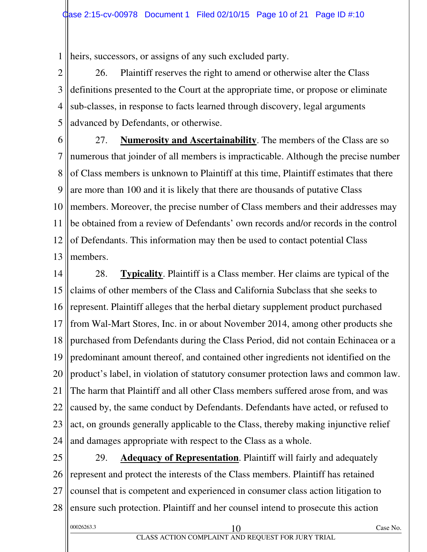1 heirs, successors, or assigns of any such excluded party.

2 3 4 5 26. Plaintiff reserves the right to amend or otherwise alter the Class definitions presented to the Court at the appropriate time, or propose or eliminate sub-classes, in response to facts learned through discovery, legal arguments advanced by Defendants, or otherwise.

6 7 8 9 10 11 12 13 27. **Numerosity and Ascertainability**. The members of the Class are so numerous that joinder of all members is impracticable. Although the precise number of Class members is unknown to Plaintiff at this time, Plaintiff estimates that there are more than 100 and it is likely that there are thousands of putative Class members. Moreover, the precise number of Class members and their addresses may be obtained from a review of Defendants' own records and/or records in the control of Defendants. This information may then be used to contact potential Class members.

14 15 16 17 18 19 20 21 22 23 24 28. **Typicality**. Plaintiff is a Class member. Her claims are typical of the claims of other members of the Class and California Subclass that she seeks to represent. Plaintiff alleges that the herbal dietary supplement product purchased from Wal-Mart Stores, Inc. in or about November 2014, among other products she purchased from Defendants during the Class Period, did not contain Echinacea or a predominant amount thereof, and contained other ingredients not identified on the product's label, in violation of statutory consumer protection laws and common law. The harm that Plaintiff and all other Class members suffered arose from, and was caused by, the same conduct by Defendants. Defendants have acted, or refused to act, on grounds generally applicable to the Class, thereby making injunctive relief and damages appropriate with respect to the Class as a whole.

25 26 27 28 29. **Adequacy of Representation**. Plaintiff will fairly and adequately represent and protect the interests of the Class members. Plaintiff has retained counsel that is competent and experienced in consumer class action litigation to ensure such protection. Plaintiff and her counsel intend to prosecute this action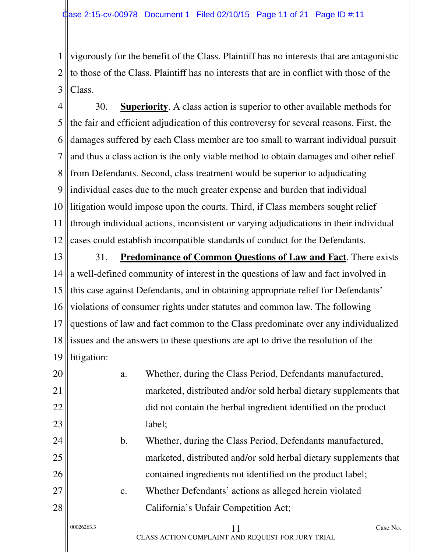1 2 3 vigorously for the benefit of the Class. Plaintiff has no interests that are antagonistic to those of the Class. Plaintiff has no interests that are in conflict with those of the Class.

4 5 6 7 8 9 10 11 12 30. **Superiority**. A class action is superior to other available methods for the fair and efficient adjudication of this controversy for several reasons. First, the damages suffered by each Class member are too small to warrant individual pursuit and thus a class action is the only viable method to obtain damages and other relief from Defendants. Second, class treatment would be superior to adjudicating individual cases due to the much greater expense and burden that individual litigation would impose upon the courts. Third, if Class members sought relief through individual actions, inconsistent or varying adjudications in their individual cases could establish incompatible standards of conduct for the Defendants.

13 14 15 16 17 18 19 31. **Predominance of Common Questions of Law and Fact**. There exists a well-defined community of interest in the questions of law and fact involved in this case against Defendants, and in obtaining appropriate relief for Defendants' violations of consumer rights under statutes and common law. The following questions of law and fact common to the Class predominate over any individualized issues and the answers to these questions are apt to drive the resolution of the litigation:

20 21 22 23 a. Whether, during the Class Period, Defendants manufactured, marketed, distributed and/or sold herbal dietary supplements that did not contain the herbal ingredient identified on the product label;

b. Whether, during the Class Period, Defendants manufactured, marketed, distributed and/or sold herbal dietary supplements that contained ingredients not identified on the product label;

c. Whether Defendants' actions as alleged herein violated California's Unfair Competition Act;

24

25

26

27

28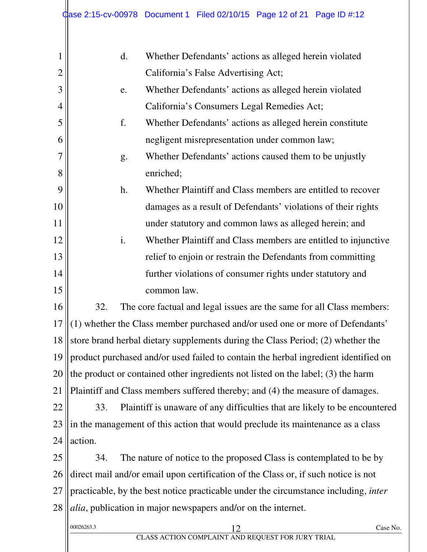|                | Case 2:15-cv-00978 Document 1 Filed 02/10/15 Page 12 of 21 Page ID #:12                         |  |  |
|----------------|-------------------------------------------------------------------------------------------------|--|--|
| 1              | $\mathbf{d}$ .<br>Whether Defendants' actions as alleged herein violated                        |  |  |
| $\overline{2}$ | California's False Advertising Act;                                                             |  |  |
| 3              | Whether Defendants' actions as alleged herein violated<br>e.                                    |  |  |
| $\overline{4}$ | California's Consumers Legal Remedies Act;                                                      |  |  |
| 5              | f.<br>Whether Defendants' actions as alleged herein constitute                                  |  |  |
| 6              | negligent misrepresentation under common law;                                                   |  |  |
| 7              | Whether Defendants' actions caused them to be unjustly<br>g.                                    |  |  |
| 8              | enriched;                                                                                       |  |  |
| 9              | Whether Plaintiff and Class members are entitled to recover<br>h.                               |  |  |
| 10             | damages as a result of Defendants' violations of their rights                                   |  |  |
| 11             | under statutory and common laws as alleged herein; and                                          |  |  |
| 12             | i.<br>Whether Plaintiff and Class members are entitled to injunctive                            |  |  |
| 13             | relief to enjoin or restrain the Defendants from committing                                     |  |  |
| 14             | further violations of consumer rights under statutory and                                       |  |  |
| 15             | common law.                                                                                     |  |  |
| 16             | The core factual and legal issues are the same for all Class members:<br>32.                    |  |  |
| 17             | (1) whether the Class member purchased and/or used one or more of Defendants'                   |  |  |
| 18             | store brand herbal dietary supplements during the Class Period; (2) whether the                 |  |  |
| 19             | product purchased and/or used failed to contain the herbal ingredient identified on             |  |  |
| 20             | the product or contained other ingredients not listed on the label; (3) the harm                |  |  |
| 21             | Plaintiff and Class members suffered thereby; and (4) the measure of damages.                   |  |  |
| 22             | Plaintiff is unaware of any difficulties that are likely to be encountered<br>33.               |  |  |
| 23             | in the management of this action that would preclude its maintenance as a class                 |  |  |
| 24             | action.                                                                                         |  |  |
| 25             | The nature of notice to the proposed Class is contemplated to be by<br>34.                      |  |  |
| 26             | direct mail and/or email upon certification of the Class or, if such notice is not              |  |  |
| 27             | practicable, by the best notice practicable under the circumstance including, inter             |  |  |
| 28             | alia, publication in major newspapers and/or on the internet.                                   |  |  |
|                | 00026263.3<br>Case No.<br>$\frac{12}{\text{CLASS ACTION COMPLAINT AND REQUEST FOR JURY TRIAL}}$ |  |  |
|                |                                                                                                 |  |  |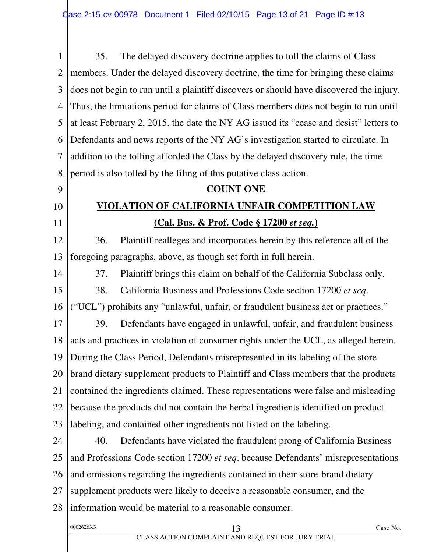1 2 3 4 5 6 7 8 35. The delayed discovery doctrine applies to toll the claims of Class members. Under the delayed discovery doctrine, the time for bringing these claims does not begin to run until a plaintiff discovers or should have discovered the injury. Thus, the limitations period for claims of Class members does not begin to run until at least February 2, 2015, the date the NY AG issued its "cease and desist" letters to Defendants and news reports of the NY AG's investigation started to circulate. In addition to the tolling afforded the Class by the delayed discovery rule, the time period is also tolled by the filing of this putative class action.

## **VIOLATION OF CALIFORNIA UNFAIR COMPETITION LAW (Cal. Bus. & Prof. Code § 17200** *et seq.***)**

**COUNT ONE** 

12 13 36. Plaintiff realleges and incorporates herein by this reference all of the foregoing paragraphs, above, as though set forth in full herein.

14

9

10

11

37. Plaintiff brings this claim on behalf of the California Subclass only.

15 16 38. California Business and Professions Code section 17200 *et seq*. ("UCL") prohibits any "unlawful, unfair, or fraudulent business act or practices."

17 18 19 20 21 22 23 39. Defendants have engaged in unlawful, unfair, and fraudulent business acts and practices in violation of consumer rights under the UCL, as alleged herein. During the Class Period, Defendants misrepresented in its labeling of the storebrand dietary supplement products to Plaintiff and Class members that the products contained the ingredients claimed. These representations were false and misleading because the products did not contain the herbal ingredients identified on product labeling, and contained other ingredients not listed on the labeling.

24 25 26 27 28 40. Defendants have violated the fraudulent prong of California Business and Professions Code section 17200 *et seq*. because Defendants' misrepresentations and omissions regarding the ingredients contained in their store-brand dietary supplement products were likely to deceive a reasonable consumer, and the information would be material to a reasonable consumer.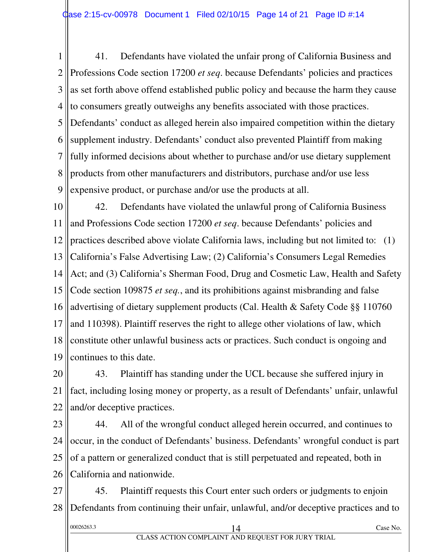1 2 3 4 5 6 7 8 9 41. Defendants have violated the unfair prong of California Business and Professions Code section 17200 *et seq*. because Defendants' policies and practices as set forth above offend established public policy and because the harm they cause to consumers greatly outweighs any benefits associated with those practices. Defendants' conduct as alleged herein also impaired competition within the dietary supplement industry. Defendants' conduct also prevented Plaintiff from making fully informed decisions about whether to purchase and/or use dietary supplement products from other manufacturers and distributors, purchase and/or use less expensive product, or purchase and/or use the products at all.

10 11 12 13 14 15 16 17 18 19 42. Defendants have violated the unlawful prong of California Business and Professions Code section 17200 *et seq*. because Defendants' policies and practices described above violate California laws, including but not limited to: (1) California's False Advertising Law; (2) California's Consumers Legal Remedies Act; and (3) California's Sherman Food, Drug and Cosmetic Law, Health and Safety Code section 109875 *et seq.*, and its prohibitions against misbranding and false advertising of dietary supplement products (Cal. Health & Safety Code §§ 110760 and 110398). Plaintiff reserves the right to allege other violations of law, which constitute other unlawful business acts or practices. Such conduct is ongoing and continues to this date.

20 21 22 43. Plaintiff has standing under the UCL because she suffered injury in fact, including losing money or property, as a result of Defendants' unfair, unlawful and/or deceptive practices.

23 24 25 26 44. All of the wrongful conduct alleged herein occurred, and continues to occur, in the conduct of Defendants' business. Defendants' wrongful conduct is part of a pattern or generalized conduct that is still perpetuated and repeated, both in California and nationwide.

27 28 00026263.3 Case No. 20026263.3 Case No. 45. Plaintiff requests this Court enter such orders or judgments to enjoin Defendants from continuing their unfair, unlawful, and/or deceptive practices and to

CLASS ACTION COMPLAINT AND REQUEST FOR JURY TRIAL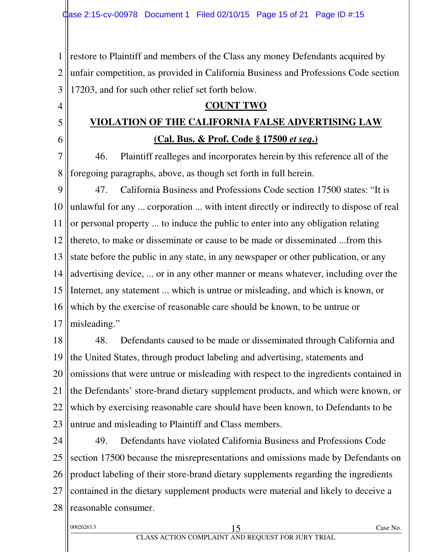1 2 3 restore to Plaintiff and members of the Class any money Defendants acquired by unfair competition, as provided in California Business and Professions Code section 17203, and for such other relief set forth below.

#### **COUNT TWO**

## **VIOLATION OF THE CALIFORNIA FALSE ADVERTISING LAW (Cal. Bus. & Prof. Code § 17500** *et seq***.)**

7 8 46. Plaintiff realleges and incorporates herein by this reference all of the foregoing paragraphs, above, as though set forth in full herein.

 $\overline{Q}$ 10 11 12 13 14 15 16 17 47. California Business and Professions Code section 17500 states: "It is unlawful for any ... corporation ... with intent directly or indirectly to dispose of real or personal property ... to induce the public to enter into any obligation relating thereto, to make or disseminate or cause to be made or disseminated ...from this state before the public in any state, in any newspaper or other publication, or any advertising device, ... or in any other manner or means whatever, including over the Internet, any statement ... which is untrue or misleading, and which is known, or which by the exercise of reasonable care should be known, to be untrue or misleading."

18 19 20 21 22 23 48. Defendants caused to be made or disseminated through California and the United States, through product labeling and advertising, statements and omissions that were untrue or misleading with respect to the ingredients contained in the Defendants' store-brand dietary supplement products, and which were known, or which by exercising reasonable care should have been known, to Defendants to be untrue and misleading to Plaintiff and Class members.

24 25 26 27 28 49. Defendants have violated California Business and Professions Code section 17500 because the misrepresentations and omissions made by Defendants on product labeling of their store-brand dietary supplements regarding the ingredients contained in the dietary supplement products were material and likely to deceive a reasonable consumer.

| 00026263.3 |
|------------|
|------------|

4

5

6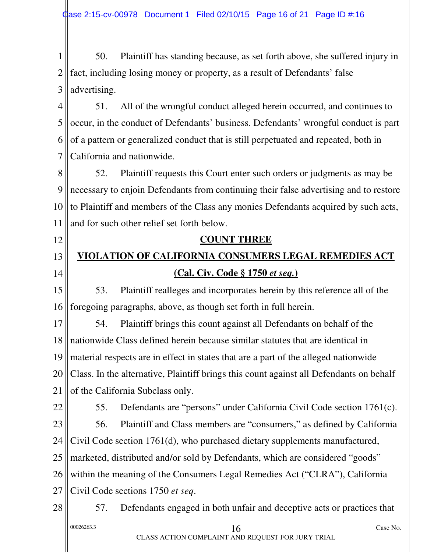1 2 3 50. Plaintiff has standing because, as set forth above, she suffered injury in fact, including losing money or property, as a result of Defendants' false advertising.

4 5 6 7 51. All of the wrongful conduct alleged herein occurred, and continues to occur, in the conduct of Defendants' business. Defendants' wrongful conduct is part of a pattern or generalized conduct that is still perpetuated and repeated, both in California and nationwide.

8 9 10 11 52. Plaintiff requests this Court enter such orders or judgments as may be necessary to enjoin Defendants from continuing their false advertising and to restore to Plaintiff and members of the Class any monies Defendants acquired by such acts, and for such other relief set forth below.

#### 13 14 **VIOLATION OF CALIFORNIA CONSUMERS LEGAL REMEDIES ACT (Cal. Civ. Code § 1750** *et seq.***)**

**COUNT THREE** 

15 16 53. Plaintiff realleges and incorporates herein by this reference all of the foregoing paragraphs, above, as though set forth in full herein.

17 18 19 20 21 54. Plaintiff brings this count against all Defendants on behalf of the nationwide Class defined herein because similar statutes that are identical in material respects are in effect in states that are a part of the alleged nationwide Class. In the alternative, Plaintiff brings this count against all Defendants on behalf of the California Subclass only.

22

12

55. Defendants are "persons" under California Civil Code section 1761(c).

23 56. Plaintiff and Class members are "consumers," as defined by California

24 Civil Code section 1761(d), who purchased dietary supplements manufactured,

25 marketed, distributed and/or sold by Defendants, which are considered "goods"

26 within the meaning of the Consumers Legal Remedies Act ("CLRA"), California

27 Civil Code sections 1750 *et seq*.

28  $\frac{00026263.3}{2}$  Case No. 57. Defendants engaged in both unfair and deceptive acts or practices that

CLASS ACTION COMPLAINT AND REQUEST FOR JURY TRIAL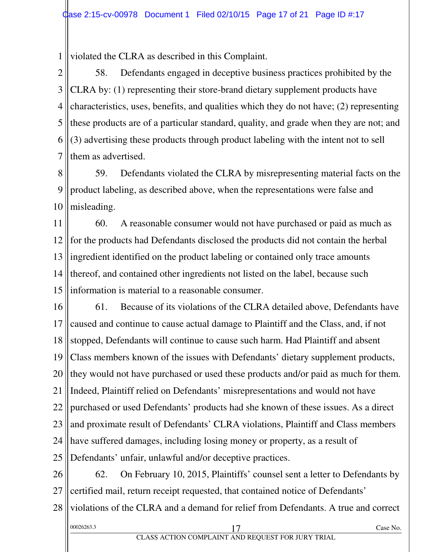1 violated the CLRA as described in this Complaint.

2 3 4 5 6 7 58. Defendants engaged in deceptive business practices prohibited by the CLRA by: (1) representing their store-brand dietary supplement products have characteristics, uses, benefits, and qualities which they do not have; (2) representing these products are of a particular standard, quality, and grade when they are not; and (3) advertising these products through product labeling with the intent not to sell them as advertised.

8 9 10 59. Defendants violated the CLRA by misrepresenting material facts on the product labeling, as described above, when the representations were false and misleading.

11 12 13 14 15 60. A reasonable consumer would not have purchased or paid as much as for the products had Defendants disclosed the products did not contain the herbal ingredient identified on the product labeling or contained only trace amounts thereof, and contained other ingredients not listed on the label, because such information is material to a reasonable consumer.

16 17 18 19 20 21 22 23 24 25 61. Because of its violations of the CLRA detailed above, Defendants have caused and continue to cause actual damage to Plaintiff and the Class, and, if not stopped, Defendants will continue to cause such harm. Had Plaintiff and absent Class members known of the issues with Defendants' dietary supplement products, they would not have purchased or used these products and/or paid as much for them. Indeed, Plaintiff relied on Defendants' misrepresentations and would not have purchased or used Defendants' products had she known of these issues. As a direct and proximate result of Defendants' CLRA violations, Plaintiff and Class members have suffered damages, including losing money or property, as a result of Defendants' unfair, unlawful and/or deceptive practices.

26 27 62. On February 10, 2015, Plaintiffs' counsel sent a letter to Defendants by certified mail, return receipt requested, that contained notice of Defendants'

28 violations of the CLRA and a demand for relief from Defendants. A true and correct

| 00026263.3 |                                                                           | ∠ase<br>No. |
|------------|---------------------------------------------------------------------------|-------------|
|            | LAINT AND DEOUEST EOD HIDV TDLAI<br>$\Lambda$ CTION COMDI<br>$\Lambda$ CC |             |

CLASS ACTION COMPLAINT AND REQUEST FOR JURY TRIAL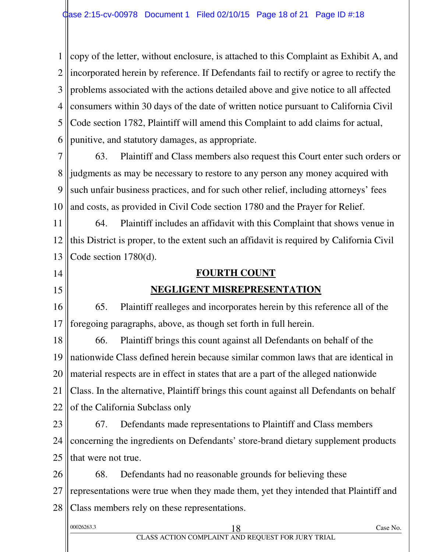1 2 3 4 5 6 copy of the letter, without enclosure, is attached to this Complaint as Exhibit A, and incorporated herein by reference. If Defendants fail to rectify or agree to rectify the problems associated with the actions detailed above and give notice to all affected consumers within 30 days of the date of written notice pursuant to California Civil Code section 1782, Plaintiff will amend this Complaint to add claims for actual, punitive, and statutory damages, as appropriate.

7 8 9 10 63. Plaintiff and Class members also request this Court enter such orders or judgments as may be necessary to restore to any person any money acquired with such unfair business practices, and for such other relief, including attorneys' fees and costs, as provided in Civil Code section 1780 and the Prayer for Relief.

11 12 13 64. Plaintiff includes an affidavit with this Complaint that shows venue in this District is proper, to the extent such an affidavit is required by California Civil Code section 1780(d).

14

15

#### **FOURTH COUNT**

#### **NEGLIGENT MISREPRESENTATION**

16 17 65. Plaintiff realleges and incorporates herein by this reference all of the foregoing paragraphs, above, as though set forth in full herein.

18 19 20 21 22 66. Plaintiff brings this count against all Defendants on behalf of the nationwide Class defined herein because similar common laws that are identical in material respects are in effect in states that are a part of the alleged nationwide Class. In the alternative, Plaintiff brings this count against all Defendants on behalf of the California Subclass only

23 24 25 67. Defendants made representations to Plaintiff and Class members concerning the ingredients on Defendants' store-brand dietary supplement products that were not true.

26 27 28 68. Defendants had no reasonable grounds for believing these representations were true when they made them, yet they intended that Plaintiff and Class members rely on these representations.

| 00026263.3 |                                                   | Case No. |
|------------|---------------------------------------------------|----------|
|            | CLASS ACTION COMPLAINT AND REQUEST FOR JURY TRIAL |          |
|            |                                                   |          |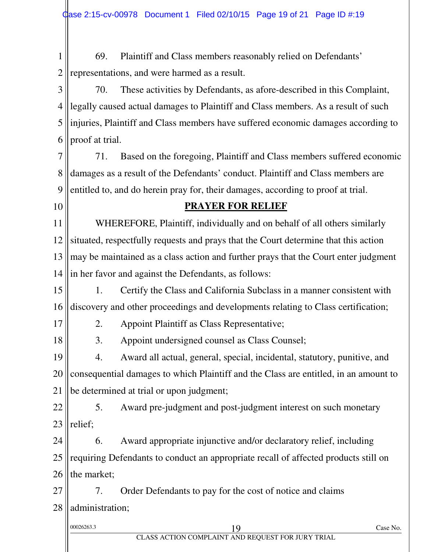1 2 69. Plaintiff and Class members reasonably relied on Defendants' representations, and were harmed as a result.

3 4 5 6 70. These activities by Defendants, as afore-described in this Complaint, legally caused actual damages to Plaintiff and Class members. As a result of such injuries, Plaintiff and Class members have suffered economic damages according to proof at trial.

7 8 9 71. Based on the foregoing, Plaintiff and Class members suffered economic damages as a result of the Defendants' conduct. Plaintiff and Class members are entitled to, and do herein pray for, their damages, according to proof at trial.

10

#### **PRAYER FOR RELIEF**

11 12 13 14 WHEREFORE, Plaintiff, individually and on behalf of all others similarly situated, respectfully requests and prays that the Court determine that this action may be maintained as a class action and further prays that the Court enter judgment in her favor and against the Defendants, as follows:

15 16 1. Certify the Class and California Subclass in a manner consistent with discovery and other proceedings and developments relating to Class certification;

17

2. Appoint Plaintiff as Class Representative;

18

3. Appoint undersigned counsel as Class Counsel;

19 20 21 4. Award all actual, general, special, incidental, statutory, punitive, and consequential damages to which Plaintiff and the Class are entitled, in an amount to be determined at trial or upon judgment;

22 23 5. Award pre-judgment and post-judgment interest on such monetary relief;

24 25 26 6. Award appropriate injunctive and/or declaratory relief, including requiring Defendants to conduct an appropriate recall of affected products still on the market;

27 28 7. Order Defendants to pay for the cost of notice and claims administration;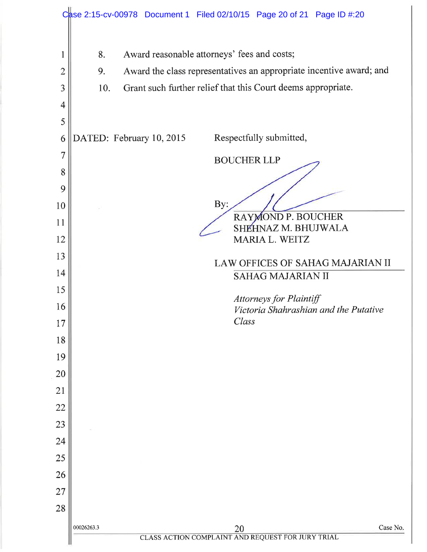|                | Case 2:15-cv-00978 Document 1 Filed 02/10/15 Page 20 of 21 Page ID #:20                    |
|----------------|--------------------------------------------------------------------------------------------|
| l              | Award reasonable attorneys' fees and costs;<br>8.                                          |
| $\overline{2}$ | Award the class representatives an appropriate incentive award; and<br>9.                  |
| 3              | Grant such further relief that this Court deems appropriate.<br>10.                        |
| 4              |                                                                                            |
| 5              |                                                                                            |
| 6              | DATED: February 10, 2015<br>Respectfully submitted,                                        |
| 7              | <b>BOUCHER LLP</b>                                                                         |
| 8              |                                                                                            |
| 9              |                                                                                            |
| 10             | By:<br>RAYMOND P. BOUCHER                                                                  |
| 11             | SHEHNAZ M. BHUJWALA                                                                        |
| 12             | MARIA L. WEITZ                                                                             |
| 13             | LAW OFFICES OF SAHAG MAJARIAN II                                                           |
| 14             | <b>SAHAG MAJARIAN II</b>                                                                   |
| 15             | Attorneys for Plaintiff                                                                    |
| 16             | Victoria Shahrashian and the Putative<br>Class                                             |
| 17             |                                                                                            |
| 18             |                                                                                            |
| 19<br>20       |                                                                                            |
| 21             |                                                                                            |
| 22             |                                                                                            |
| 23             |                                                                                            |
| 24             |                                                                                            |
| 25             |                                                                                            |
| 26             |                                                                                            |
| 27             |                                                                                            |
| 28             |                                                                                            |
|                | Case No.<br>00026263.3                                                                     |
|                | $\frac{20}{\text{CLASS\,\,ACTION\,\,COMPLAINT\,\,AND\,\,REQUEST\,\,FOR\,\,JURY\,\,TRIAL}}$ |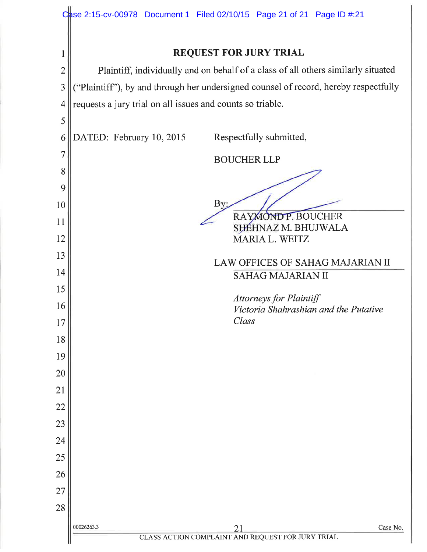|                | Case 2:15-cv-00978 Document 1 Filed 02/10/15 Page 21 of 21 Page ID #:21              |
|----------------|--------------------------------------------------------------------------------------|
| 1              | <b>REQUEST FOR JURY TRIAL</b>                                                        |
| $\overline{2}$ | Plaintiff, individually and on behalf of a class of all others similarly situated    |
| 3              | ("Plaintiff"), by and through her undersigned counsel of record, hereby respectfully |
| 4              | requests a jury trial on all issues and counts so triable.                           |
| 5              |                                                                                      |
| 6              | DATED: February 10, 2015<br>Respectfully submitted,                                  |
| 7              | <b>BOUCHER LLP</b>                                                                   |
| 8              |                                                                                      |
| 9              |                                                                                      |
| 10             | By:<br><b>MONDP. BOUCHER</b>                                                         |
| 11             | SHÉHNAZ M. BHUJWALA                                                                  |
| 12             | MARIA L. WEITZ                                                                       |
| 13             | LAW OFFICES OF SAHAG MAJARIAN II                                                     |
| 14             | <b>SAHAG MAJARIAN II</b>                                                             |
| 15             | <b>Attorneys for Plaintiff</b>                                                       |
| 16             | Victoria Shahrashian and the Putative<br>Class                                       |
| 17             |                                                                                      |
| 18<br>19       |                                                                                      |
| 20             |                                                                                      |
| 21             |                                                                                      |
| 22             |                                                                                      |
| 23             |                                                                                      |
| 24             |                                                                                      |
| 25             |                                                                                      |
| 26             |                                                                                      |
| 27             |                                                                                      |
| 28             |                                                                                      |
|                | 00026263.3<br>Case No.<br>21                                                         |
|                | CLASS ACTION COMPLAINT AND REQUEST FOR JURY TRIAL                                    |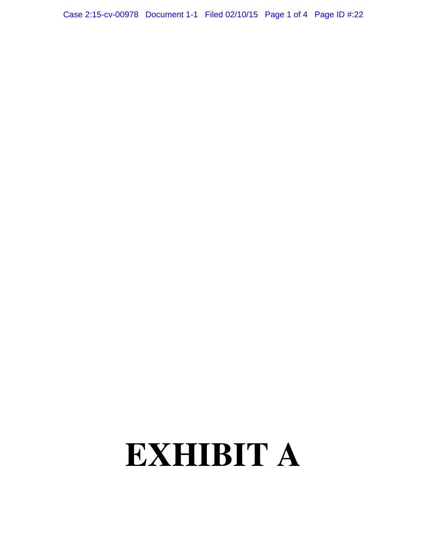Case 2:15-cv-00978 Document 1-1 Filed 02/10/15 Page 1 of 4 Page ID #:22

# **EXHIBIT A**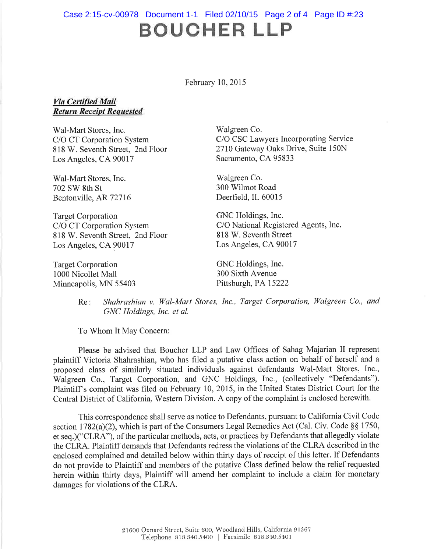## BOUCHER LLP Case 2:15-cv-00978 Document 1-1 Filed 02/10/15 Page 2 of 4 Page ID #:23

February 10, 2015

#### Via Certified Mail Return Receipt Requested

Wal-Mart Stores, Inc. C/O CT Corporation System 818 W. Seventh Street, 2nd Floor Los Angeles, CA 90017

Wal-Mart Stores, Inc. 702 SW 8th St Bentonville, AR 72716

Target Corporation C/O CT Corporation System 818 W. Seventh Street, 2nd Floor Los Angeles, CA 90017

Target Corporation 1000 Nicollet Mall Minneapolis, MN 55403 Walgreen Co. C/O CSC Lawyers Incorporating Service 2710 Gateway Oaks Drive, Suite 150N Sacramento, CA 95833

Walgreen Co. 300 Wilmot Road Deerfield, IL 60015

GNC Holdings, Inc. C/O National Registered Agents, Inc. 818 W. Seventh Street Los Angeles, CA 90017

GNC Holdings, Inc. 300 Sixth Avenue Pittsburgh, PA 15222

Re: Shahrashian v. Wal-Mart Stores, Inc., Target Corporation, Walgreen Co., and GNC Holdings, Inc. et al.

To Whom It May Concern:

Please be advised that Boucher LLP and Law Offices of Sahag Majarian II represent plaintiff Victoria Shahrashian, who has filed <sup>a</sup> putative class action on behalf of herself and <sup>a</sup> proposed class of similarly situated individuals against defendants Wal-Mart Stores, Inc., Walgreen Co., Target Corporation, and GNC Holdings, Inc., (collectively "Defendants"). Plaintiffs complaint was filed on February 10, 2015, in the United States District Court for the Central District of California, Western Division. A copy of the complaint is enclosed herewith.

This correspondence shall serve as notice to Defendants, pursuant to California Civil Code section 1782(a)(2), which is part of the Consumers Legal Remedies Act (Cal. Civ. Code  $\S$ § 1750, et seq.)("CLRA"), of the particular methods, acts, or practices by Defendants that allegedly violate the CLRA. Plaintiff demands that Defendants redress the violations of the CLRA described in the enclosed complained and detailed below within thirty days of receipt of this letter. If Defendants do not provide to Plaintiff and members of the putative Class defined below the relief requested herein within thirty days, Plaintiff will amend her complaint to include <sup>a</sup> claim for monetary damages for violations of the CLRA.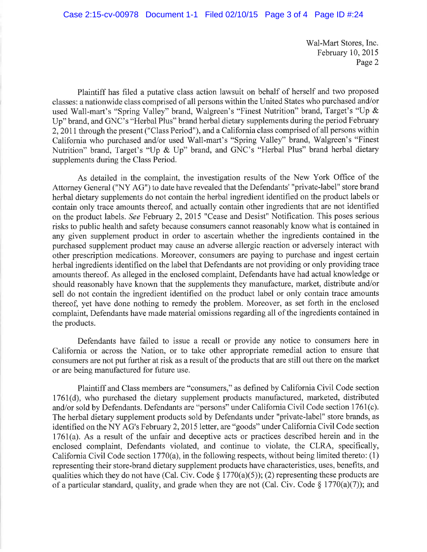Wal-Mart Stores, Inc. February 10, 2015 Page 2

Plaintiff has filed <sup>a</sup> putative class action lawsuit on behalf of herself and two proposed classes: a nationwide class comprised of all persons within the United States who purchased and/or used Wall-mart's "Spring Valley" brand, Walgreen's "Finest Nutrition" brand, Target's "Up & Up" brand, and GNC's "Herbal Plus" brand herbal dietary supplements during the period February 2, 2011 through the present ("Class Period"), and a California class comprised of all persons within California who purchased and/or used Wall-mart's "Spring Valley" brand, Walgreen's "Finest Nutrition" brand, Target's "Up & Up" brand, and GNC's "Herbal Plus" brand herbal dietary supplements during the Class Period.

As detailed in the complaint, the investigation results of the New York Office of the Attorney General ("NY AG") to date have revealed that the Defendants' "private-label" store brand herbal dietary supplements do not contain the herbal ingredient identified on the product labels or contain only trace amounts thereof, and actually contain other ingredients that are not identified on the product labels. See February 2, 2015 "Cease and Desist" Notification. This poses serious risks to public health and safety because consumers cannot reasonably know what is contained in any given supplement product in order to ascertain whether the ingredients contained in the purchased supplement product may cause an adverse allergic reaction or adversely interact with other prescription medications. Moreover, consumers are paying to purchase and ingest certain herbal ingredients identified on the label that Defendants are not providing or only providing trace amounts thereof. As alleged in the enclosed complaint, Defendants have had actual knowledge or should reasonably have known that the supplements they manufacture, market, distribute and/or sell do not contain the ingredient identified on the product label or only contain trace amounts thereof, yet have done nothing to remedy the problem. Moreover, as set forth in the enclosed complaint. Defendants have made material omissions regarding all of the ingredients contained in the products.

Defendants have failed to issue <sup>a</sup> recall or provide any notice to consumers here in California or across the Nation, or to take other appropriate remedial action to ensure that consumers are not put further at risk as a result of the products that are still out there on the market or are being manufactured for future use.

Plaintiff and Class members are "consumers," as defined by California Civil Code section 1761(d), who purchased the dietary supplement products manufactured, marketed, distributed and/or sold by Defendants. Defendants are "persons" under California Civil Code section 1761(c). The herbal dietary supplement products sold by Defendants under "private-label" store brands, as identified on the NY AG's February 2, 2015 letter, are "goods" under California Civil Code section 1761(a). As <sup>a</sup> result of the unfair and deceptive acts or practices described herein and in the enclosed complaint, Defendants violated, and continue to violate, the CLRA, specifically, California Civil Code section 1770(a), in the following respects, without being limited thereto: (1) representing their store-brand dietary supplement products have characteristics, uses, benefits, and qualities which they do not have (Cal. Civ. Code  $\S 1770(a)(5)$ ); (2) representing these products are of a particular standard, quality, and grade when they are not (Cal. Civ. Code § 1770(a)(7)); and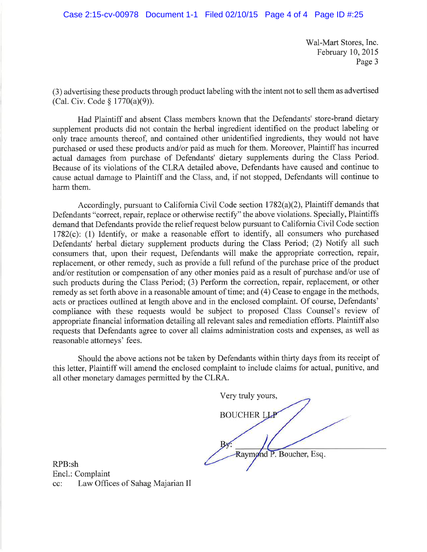Wal-Mart Stores, Inc. February 10, 2015 Page 3

(3) advertising these products through product labeling with the intent not to sell them as advertised (Cal. Civ. Code § 1770(a)(9)).

Had Plaintiff and absent Class members known that the Defendants' store-brand dietary supplement products did not contain the herbal ingredient identified on the product labeling or only trace amounts thereof, and contained other unidentified ingredients, they would not have purchased or used these products and/or paid as much for them. Moreover, Plaintiff has incurred actual damages from purchase of Defendants' dietary supplements during the Class Period. Because of its violations of the CLRA detailed above, Defendants have caused and continue to cause actual damage to Plaintiff and the Class, and, if not stopped, Defendants will continue to harm them.

Accordingly, pursuant to California Civil Code section 1782(a)(2), Plaintiff demands that Defendants "correct, repair, replace or otherwise rectify" the above violations. Specially, Plaintiffs demand that Defendants provide the relief request below pursuant to California Civil Code section 1782(c): (1) Identify, or make <sup>a</sup> reasonable effort to identify, all consumers who purchased Defendants' herbal dietary supplement products during the Class Period; (2) Notify all such consumers that, upon their request, Defendants will make the appropriate correction, repair, replacement, or other remedy, such as provide <sup>a</sup> full refund of the purchase price of the product and/or restitution or compensation of any other monies paid as <sup>a</sup> result of purchase and/or use of such products during the Class Period; (3) Perform the correction, repair, replacement, or other remedy as set forth above in a reasonable amount of time; and (4) Cease to engage in the methods, acts or practices outlined at length above and in the enclosed complaint. Of course, Defendants' compliance with these requests would be subject to proposed Class Counsel's review of appropriate financial information detailing all relevant sales and remediation efforts. Plaintiff also requests that Defendants agree to cover all claims administration costs and expenses, as well as reasonable attorneys' fees.

Should the above actions not be taken by Defendants within thirty days from its receipt of this letter, Plaintiff will amend the enclosed complaint to include claims for actual, punitive, and all other monetary damages permitted by the CLRA.

Very truly yours, **BOUCHER LLP** . Boucher, Esq

RPB:sh End.: Complaint cc: Law Offices of Sahag Majarian II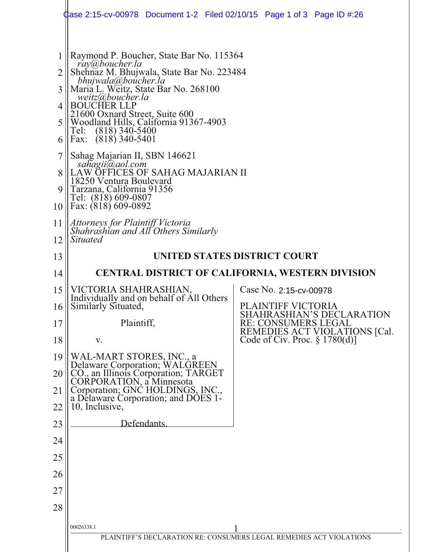|                                      | Case 2:15-cv-00978 Document 1-2 Filed 02/10/15 Page 1 of 3 Page ID #:26                                                                                                                                                                                                                                                                                                                                                           |                                                                     |
|--------------------------------------|-----------------------------------------------------------------------------------------------------------------------------------------------------------------------------------------------------------------------------------------------------------------------------------------------------------------------------------------------------------------------------------------------------------------------------------|---------------------------------------------------------------------|
| 1<br>2<br>3<br>4<br>5<br>6<br>7<br>8 | Raymond P. Boucher, State Bar No. 115364<br>ray@boucher.la<br>Shehnaz M. Bhujwala, State Bar No. 223484<br>bhujwala@boucher.la<br>Maria L. Weitz, State Bar No. 268100<br>weitz@boucher.la<br><b>BOUCHER LLP</b><br>21600 Oxnard Street, Suite 600<br>Woodland Hills, California 91367-4903<br>Tel: (818) 340-5400<br>Fax: (818) 340-5401<br>Sahag Majarian II, SBN 146621<br>sahagii@aol.com<br>LAW OFFICES OF SAHAG MAJARIAN II |                                                                     |
| 9<br>10                              | 18250 Ventura Boulevard<br>Tarzana, California 91356<br>Tel: (818) 609-0807<br>Fax: (818) 609-0892                                                                                                                                                                                                                                                                                                                                |                                                                     |
| 11<br>12                             | Attorneys for Plaintiff Victoria<br>Shahrashian and All Others Similarly<br><i>Situated</i>                                                                                                                                                                                                                                                                                                                                       |                                                                     |
| 13                                   |                                                                                                                                                                                                                                                                                                                                                                                                                                   | UNITED STATES DISTRICT COURT                                        |
| 14                                   |                                                                                                                                                                                                                                                                                                                                                                                                                                   | <b>CENTRAL DISTRICT OF CALIFORNIA, WESTERN DIVISION</b>             |
| 15<br>16                             | VICTORIA SHAHRASHIAN,<br>Individually and on behalf of All Others<br>Similarly Situated,                                                                                                                                                                                                                                                                                                                                          | Case No. 2:15-cv-00978<br>PLAINTIFF VICTORIA                        |
| 17                                   | Plaintiff,                                                                                                                                                                                                                                                                                                                                                                                                                        | SHAHRASHIAN'S DECLARATION<br><b>RE: CONSUMERS LEGAL</b>             |
| 18                                   | V.                                                                                                                                                                                                                                                                                                                                                                                                                                | REMEDIES ACT VIOLATIONS [Cal.<br>Code of Civ. Proc. $\S 1780(d)$ ]  |
| 19<br>20<br>21                       | WAL-MART STORES, INC., a<br>Delaware Corporation; WALGREEN<br>CO., an Illinois Corporation; TARGET<br>CORPORATION, a Minnesota<br>Corporation; GNC HOLDINGS, INC.,                                                                                                                                                                                                                                                                |                                                                     |
| 22                                   | a Delaware Corporation; and DÓES 1-<br>10, Inclusive,                                                                                                                                                                                                                                                                                                                                                                             |                                                                     |
| 23                                   | Defendants.                                                                                                                                                                                                                                                                                                                                                                                                                       |                                                                     |
| 24                                   |                                                                                                                                                                                                                                                                                                                                                                                                                                   |                                                                     |
| 25                                   |                                                                                                                                                                                                                                                                                                                                                                                                                                   |                                                                     |
| 26                                   |                                                                                                                                                                                                                                                                                                                                                                                                                                   |                                                                     |
| 27                                   |                                                                                                                                                                                                                                                                                                                                                                                                                                   |                                                                     |
| 28                                   |                                                                                                                                                                                                                                                                                                                                                                                                                                   |                                                                     |
|                                      | 00026338.1                                                                                                                                                                                                                                                                                                                                                                                                                        |                                                                     |
|                                      |                                                                                                                                                                                                                                                                                                                                                                                                                                   | PLAINTIFF'S DECLARATION RE: CONSUMERS LEGAL REMEDIES ACT VIOLATIONS |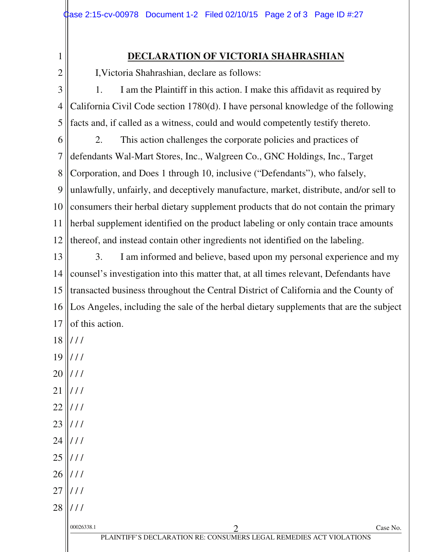1 2

### **DECLARATION OF VICTORIA SHAHRASHIAN**

I,Victoria Shahrashian, declare as follows:

3 4 5 1. I am the Plaintiff in this action. I make this affidavit as required by California Civil Code section 1780(d). I have personal knowledge of the following facts and, if called as a witness, could and would competently testify thereto.

6 7 8 9 10 11 12 2. This action challenges the corporate policies and practices of defendants Wal-Mart Stores, Inc., Walgreen Co., GNC Holdings, Inc., Target Corporation, and Does 1 through 10, inclusive ("Defendants"), who falsely, unlawfully, unfairly, and deceptively manufacture, market, distribute, and/or sell to consumers their herbal dietary supplement products that do not contain the primary herbal supplement identified on the product labeling or only contain trace amounts thereof, and instead contain other ingredients not identified on the labeling.

13 14 15 16 17 3. I am informed and believe, based upon my personal experience and my counsel's investigation into this matter that, at all times relevant, Defendants have transacted business throughout the Central District of California and the County of Los Angeles, including the sale of the herbal dietary supplements that are the subject of this action.

- 18  $111$
- 19  $111$
- 20  $111$
- 21 / / /
- 22  $111$
- 23  $1/1$
- 24  $111$
- 25  $111$
- 26  $111$
- 27 / / /
- 28 / / /

| 00026338.1 |                                                                     | Case No. |
|------------|---------------------------------------------------------------------|----------|
|            | PLAINTIFF'S DECLARATION RE: CONSUMERS LEGAL REMEDIES ACT VIOLATIONS |          |